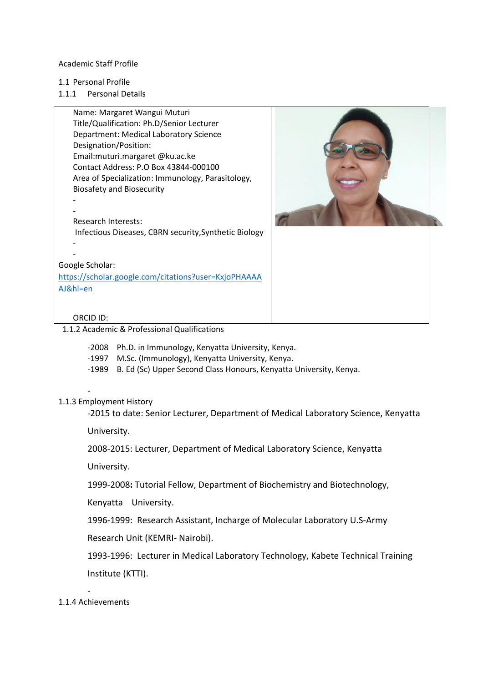#### Academic Staff Profile

- 1.1 Personal Profile
- 1.1.1 Personal Details





ORCID ID:

1.1.2 Academic & Professional Qualifications

-2008 Ph.D. in Immunology, Kenyatta University, Kenya.

- -1997 M.Sc. (Immunology), Kenyatta University, Kenya.
- -1989 B. Ed (Sc) Upper Second Class Honours, Kenyatta University, Kenya.

## 1.1.3 Employment History

-

-2015 to date: Senior Lecturer, Department of Medical Laboratory Science, Kenyatta

University.

2008-2015: Lecturer, Department of Medical Laboratory Science, Kenyatta

University.

1999-2008**:** Tutorial Fellow, Department of Biochemistry and Biotechnology,

Kenyatta University.

1996-1999: Research Assistant, Incharge of Molecular Laboratory U.S-Army

Research Unit (KEMRI- Nairobi).

1993-1996: Lecturer in Medical Laboratory Technology, Kabete Technical Training Institute (KTTI).

- 1.1.4 Achievements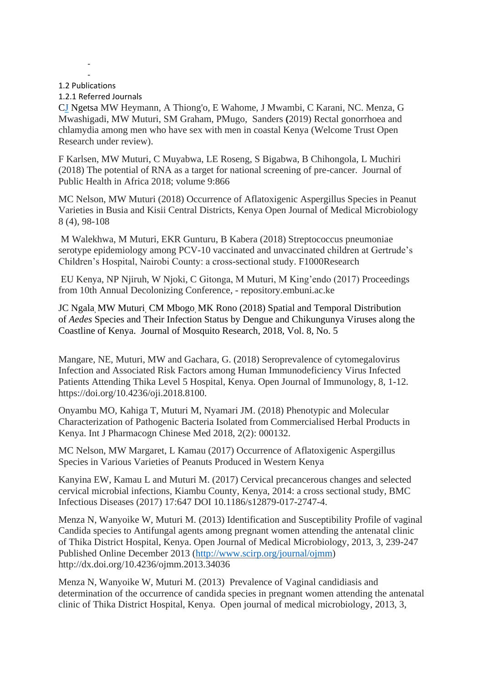#### - 1.2 Publications

-

#### 1.2.1 Referred Journals

CJ [Ngetsa](mailto:cngetsa@kemri-wellcome.org) MW Heymann, A Thiong'o, E Wahome, J Mwambi, C Karani, NC. Menza, G Mwashigadi, MW Muturi, SM Graham, PMugo, Sanders **(**2019) Rectal gonorrhoea and chlamydia among men who have sex with men in coastal Kenya (Welcome Trust Open Research under review).

F Karlsen, MW Muturi, C Muyabwa, LE Roseng, S Bigabwa, B Chihongola, L Muchiri (2018) The potential of RNA as a target for national screening of pre-cancer. Journal of Public Health in Africa 2018; volume 9:866

MC Nelson, MW Muturi (2018) Occurrence of Aflatoxigenic Aspergillus Species in Peanut Varieties in Busia and Kisii Central Districts, Kenya Open Journal of Medical Microbiology 8 (4), 98-108

M Walekhwa, M Muturi, EKR Gunturu, B Kabera (2018) Streptococcus pneumoniae serotype epidemiology among PCV-10 vaccinated and unvaccinated children at Gertrude's Children's Hospital, Nairobi County: a cross-sectional study. F1000Research

EU Kenya, NP Njiruh, W Njoki, C Gitonga, M Muturi, M King'endo (2017) Proceedings from 10th Annual Decolonizing Conference, - repository.embuni.ac.ke

JC Ngala, MW Muturi, CM Mbogo, MK Rono (2018) Spatial and Temporal Distribution of *Aedes* Species and Their Infection Status by Dengue and Chikungunya Viruses along the Coastline of Kenya. Journal of Mosquito Research, 2018, Vol. 8, No. 5

Mangare, NE, Muturi, MW and Gachara, G. (2018) Seroprevalence of cytomegalovirus Infection and Associated Risk Factors among Human Immunodeficiency Virus Infected Patients Attending Thika Level 5 Hospital, Kenya. Open Journal of Immunology, 8, 1-12. https://doi.org/10.4236/oji.2018.8100.

Onyambu MO, Kahiga T, Muturi M, Nyamari JM. (2018) Phenotypic and Molecular Characterization of Pathogenic Bacteria Isolated from Commercialised Herbal Products in Kenya. Int J Pharmacogn Chinese Med 2018, 2(2): 000132.

MC Nelson, MW Margaret, L Kamau (2017) Occurrence of Aflatoxigenic Aspergillus Species in Various Varieties of Peanuts Produced in Western Kenya

Kanyina EW, Kamau L and Muturi M. (2017) Cervical precancerous changes and selected cervical microbial infections, Kiambu County, Kenya, 2014: a cross sectional study, BMC Infectious Diseases (2017) 17:647 DOI 10.1186/s12879-017-2747-4.

Menza N, Wanyoike W, Muturi M. (2013) Identification and Susceptibility Profile of vaginal Candida species to Antifungal agents among pregnant women attending the antenatal clinic of Thika District Hospital, Kenya. Open Journal of Medical Microbiology, 2013, 3, 239-247 Published Online December 2013 [\(http://www.scirp.org/journal/ojmm\)](http://www.scirp.org/journal/ojmm) http://dx.doi.org/10.4236/ojmm.2013.34036

Menza N, Wanyoike W, Muturi M. (2013) Prevalence of Vaginal candidiasis and determination of the occurrence of candida species in pregnant women attending the antenatal clinic of Thika District Hospital, Kenya. Open journal of medical microbiology, 2013, 3,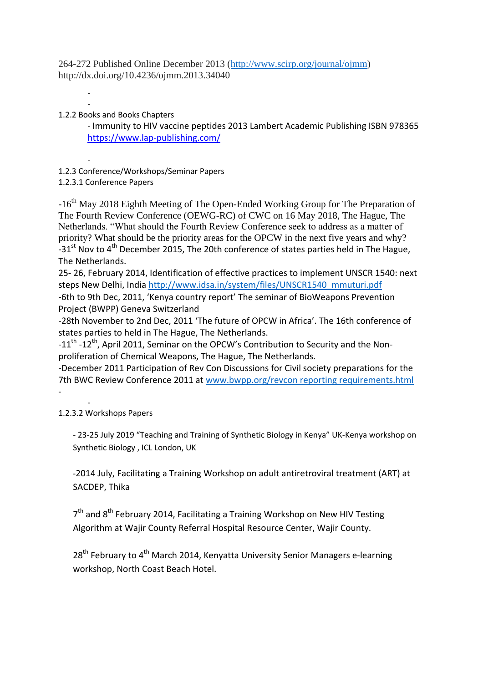264-272 Published Online December 2013 [\(http://www.scirp.org/journal/ojmm\)](http://www.scirp.org/journal/ojmm) http://dx.doi.org/10.4236/ojmm.2013.34040

- 1.2.2 Books and Books Chapters

-

- Immunity to HIV vaccine peptides 2013 Lambert Academic Publishing ISBN 978365 <https://www.lap-publishing.com/>

- 1.2.3 Conference/Workshops/Seminar Papers

1.2.3.1 Conference Papers

-16<sup>th</sup> May 2018 Eighth Meeting of The Open-Ended Working Group for The Preparation of The Fourth Review Conference (OEWG-RC) of CWC on 16 May 2018, The Hague, The Netherlands. "What should the Fourth Review Conference seek to address as a matter of priority? What should be the priority areas for the OPCW in the next five years and why?  $-31$ <sup>st</sup> Nov to 4<sup>th</sup> December 2015, The 20th conference of states parties held in The Hague, The Netherlands.

25- 26, February 2014, Identification of effective practices to implement UNSCR 1540: next steps New Delhi, India [http://www.idsa.in/system/files/UNSCR1540\\_mmuturi.pdf](http://www.idsa.in/system/files/UNSCR1540_mmuturi.pdf) -6th to 9th Dec, 2011, 'Kenya country report' The seminar of BioWeapons Prevention Project (BWPP) Geneva Switzerland

-28th November to 2nd Dec, 2011 'The future of OPCW in Africa'. The 16th conference of states parties to held in The Hague, The Netherlands.

-11<sup>th</sup> -12<sup>th</sup>, April 2011, Seminar on the OPCW's Contribution to Security and the Nonproliferation of Chemical Weapons, The Hague, The Netherlands.

-December 2011 Participation of Rev Con Discussions for Civil society preparations for the 7th BWC Review Conference 2011 at [www.bwpp.org/revcon reporting requirements.html](http://www.bwpp.org/revcon%20reporting%20requirements.html) -

- 1.2.3.2 Workshops Papers

> - 23-25 July 2019 "Teaching and Training of Synthetic Biology in Kenya" UK-Kenya workshop on Synthetic Biology , ICL London, UK

-2014 July, Facilitating a Training Workshop on adult antiretroviral treatment (ART) at SACDEP, Thika

7<sup>th</sup> and 8<sup>th</sup> February 2014, Facilitating a Training Workshop on New HIV Testing Algorithm at Wajir County Referral Hospital Resource Center, Wajir County.

28<sup>th</sup> February to 4<sup>th</sup> March 2014, Kenyatta University Senior Managers e-learning workshop, North Coast Beach Hotel.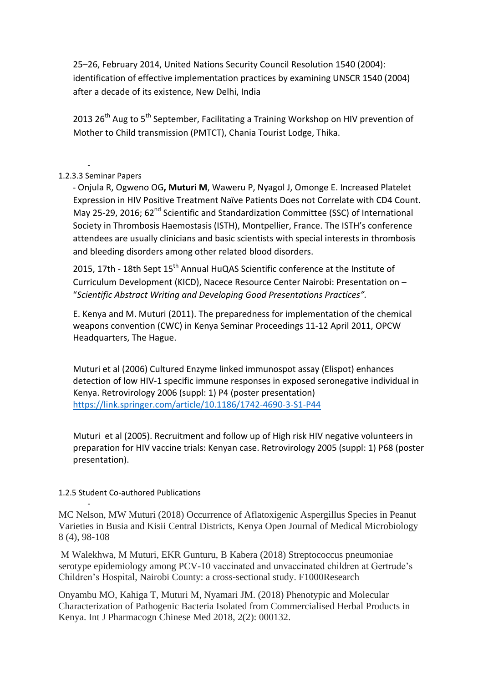25–26, February 2014, United Nations Security Council Resolution 1540 (2004): identification of effective implementation practices by examining UNSCR 1540 (2004) after a decade of its existence, New Delhi, India

2013 26<sup>th</sup> Aug to 5<sup>th</sup> September, Facilitating a Training Workshop on HIV prevention of Mother to Child transmission (PMTCT), Chania Tourist Lodge, Thika.

#### - 1.2.3.3 Seminar Papers

- Onjula R, Ogweno OG**, Muturi M**, Waweru P, Nyagol J, Omonge E. Increased Platelet Expression in HIV Positive Treatment Naïve Patients Does not Correlate with CD4 Count. May 25-29, 2016; 62<sup>nd</sup> Scientific and Standardization Committee (SSC) of International Society in Thrombosis Haemostasis (ISTH), Montpellier, France. The ISTH's conference attendees are usually clinicians and basic scientists with special interests in thrombosis and bleeding disorders among other related blood disorders.

2015, 17th - 18th Sept 15<sup>th</sup> Annual HuQAS Scientific conference at the Institute of Curriculum Development (KICD), Nacece Resource Center Nairobi: Presentation on – "*Scientific Abstract Writing and Developing Good Presentations Practices".*

E. Kenya and M. Muturi (2011). The preparedness for implementation of the chemical weapons convention (CWC) in Kenya Seminar Proceedings 11-12 April 2011, OPCW Headquarters, The Hague.

Muturi et al (2006) Cultured Enzyme linked immunospot assay (Elispot) enhances detection of low HIV-1 specific immune responses in exposed seronegative individual in Kenya. Retrovirology 2006 (suppl: 1) P4 (poster presentation) <https://link.springer.com/article/10.1186/1742-4690-3-S1-P44>

Muturi et al (2005). Recruitment and follow up of High risk HIV negative volunteers in preparation for HIV vaccine trials: Kenyan case. Retrovirology 2005 (suppl: 1) P68 (poster presentation).

## 1.2.5 Student Co-authored Publications

-

MC Nelson, MW Muturi (2018) Occurrence of Aflatoxigenic Aspergillus Species in Peanut Varieties in Busia and Kisii Central Districts, Kenya Open Journal of Medical Microbiology 8 (4), 98-108

M Walekhwa, M Muturi, EKR Gunturu, B Kabera (2018) Streptococcus pneumoniae serotype epidemiology among PCV-10 vaccinated and unvaccinated children at Gertrude's Children's Hospital, Nairobi County: a cross-sectional study. F1000Research

Onyambu MO, Kahiga T, Muturi M, Nyamari JM. (2018) Phenotypic and Molecular Characterization of Pathogenic Bacteria Isolated from Commercialised Herbal Products in Kenya. Int J Pharmacogn Chinese Med 2018, 2(2): 000132.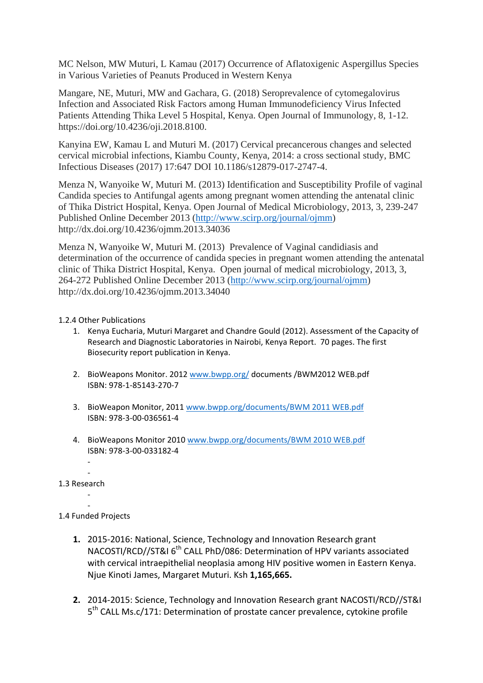MC Nelson, MW Muturi, L Kamau (2017) Occurrence of Aflatoxigenic Aspergillus Species in Various Varieties of Peanuts Produced in Western Kenya

Mangare, NE, Muturi, MW and Gachara, G. (2018) Seroprevalence of cytomegalovirus Infection and Associated Risk Factors among Human Immunodeficiency Virus Infected Patients Attending Thika Level 5 Hospital, Kenya. Open Journal of Immunology, 8, 1-12. https://doi.org/10.4236/oji.2018.8100.

Kanyina EW, Kamau L and Muturi M. (2017) Cervical precancerous changes and selected cervical microbial infections, Kiambu County, Kenya, 2014: a cross sectional study, BMC Infectious Diseases (2017) 17:647 DOI 10.1186/s12879-017-2747-4.

Menza N, Wanyoike W, Muturi M. (2013) Identification and Susceptibility Profile of vaginal Candida species to Antifungal agents among pregnant women attending the antenatal clinic of Thika District Hospital, Kenya. Open Journal of Medical Microbiology, 2013, 3, 239-247 Published Online December 2013 [\(http://www.scirp.org/journal/ojmm\)](http://www.scirp.org/journal/ojmm) http://dx.doi.org/10.4236/ojmm.2013.34036

Menza N, Wanyoike W, Muturi M. (2013) Prevalence of Vaginal candidiasis and determination of the occurrence of candida species in pregnant women attending the antenatal clinic of Thika District Hospital, Kenya. Open journal of medical microbiology, 2013, 3, 264-272 Published Online December 2013 [\(http://www.scirp.org/journal/ojmm\)](http://www.scirp.org/journal/ojmm) http://dx.doi.org/10.4236/ojmm.2013.34040

## 1.2.4 Other Publications

- 1. Kenya Eucharia, Muturi Margaret and Chandre Gould (2012). Assessment of the Capacity of Research and Diagnostic Laboratories in Nairobi, Kenya Report. 70 pages. The first Biosecurity report publication in Kenya.
- 2. BioWeapons Monitor. 2012 [www.bwpp.org/](http://www.bwpp.org/)documents/BWM2012 WEB.pdf ISBN: 978-1-85143-270-7
- 3. BioWeapon Monitor, 2011 [www.bwpp.org/documents/BWM 2011 WEB.pdf](http://www.bwpp.org/documents/BWM%202011%20WEB.pdf) ISBN: 978-3-00-036561-4
- 4. BioWeapons Monitor 2010 [www.bwpp.org/documents/BWM 2010 WEB.pdf](http://www.bwpp.org/documents/BWM%202010%20WEB.pdf) ISBN: 978-3-00-033182-4
- 1.3 Research
	- -

-

- 1.4 Funded Projects
	- **1.** 2015-2016: National, Science, Technology and Innovation Research grant NACOSTI/RCD//ST&I 6<sup>th</sup> CALL PhD/086: Determination of HPV variants associated with cervical intraepithelial neoplasia among HIV positive women in Eastern Kenya. Njue Kinoti James, Margaret Muturi. Ksh **1,165,665.**
	- **2.** 2014-2015: Science, Technology and Innovation Research grant NACOSTI/RCD//ST&I 5<sup>th</sup> CALL Ms.c/171: Determination of prostate cancer prevalence, cytokine profile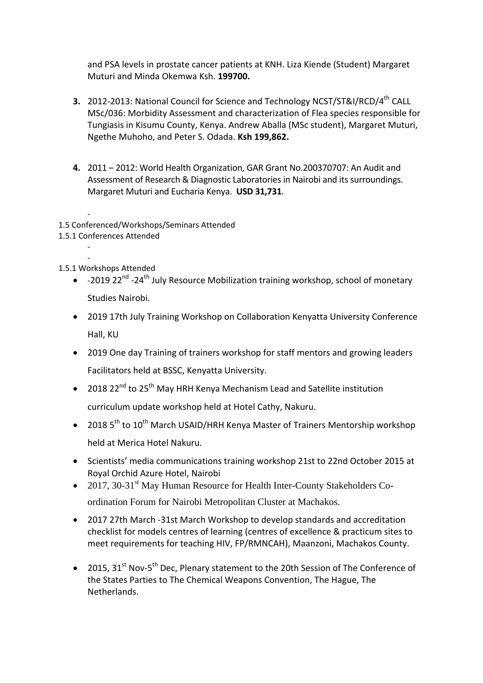and PSA levels in prostate cancer patients at KNH. Liza Kiende (Student) Margaret Muturi and Minda Okemwa Ksh. **199700.**

- **3.** 2012-2013: National Council for Science and Technology NCST/ST&I/RCD/4<sup>th</sup> CALL MSc/036: Morbidity Assessment and characterization of Flea species responsible for Tungiasis in Kisumu County, Kenya. Andrew Aballa (MSc student), Margaret Muturi, Ngethe Muhoho, and Peter S. Odada. **Ksh 199,862.**
- **4.** 2011 2012: World Health Organization, GAR Grant No.200370707: An Audit and Assessment of Research & Diagnostic Laboratories in Nairobi and its surroundings. Margaret Muturi and Eucharia Kenya. **USD 31,731**.
- 1.5 Conferenced/Workshops/Seminars Attended
- 1.5.1 Conferences Attended
- 1.5.1 Workshops Attended

-

- -2019 22<sup>nd</sup> -24<sup>th</sup> July Resource Mobilization training workshop, school of monetary Studies Nairobi.
- 2019 17th July Training Workshop on Collaboration Kenyatta University Conference Hall, KU
- 2019 One day Training of trainers workshop for staff mentors and growing leaders Facilitators held at BSSC, Kenyatta University.
- 2018 22<sup>nd</sup> to 25<sup>th</sup> May HRH Kenya Mechanism Lead and Satellite institution curriculum update workshop held at Hotel Cathy, Nakuru.
- 2018  $5<sup>th</sup>$  to 10<sup>th</sup> March USAID/HRH Kenya Master of Trainers Mentorship workshop held at Merica Hotel Nakuru.
- Scientists' media communications training workshop 21st to 22nd October 2015 at Royal Orchid Azure Hotel, Nairobi
- 2017, 30-31<sup>st</sup> May Human Resource for Health Inter-County Stakeholders Coordination Forum for Nairobi Metropolitan Cluster at Machakos.
- 2017 27th March -31st March Workshop to develop standards and accreditation checklist for models centres of learning (centres of excellence & practicum sites to meet requirements for teaching HIV, FP/RMNCAH), Maanzoni, Machakos County.
- 2015,  $31^{st}$  Nov-5<sup>th</sup> Dec, Plenary statement to the 20th Session of The Conference of the States Parties to The Chemical Weapons Convention, The Hague, The Netherlands.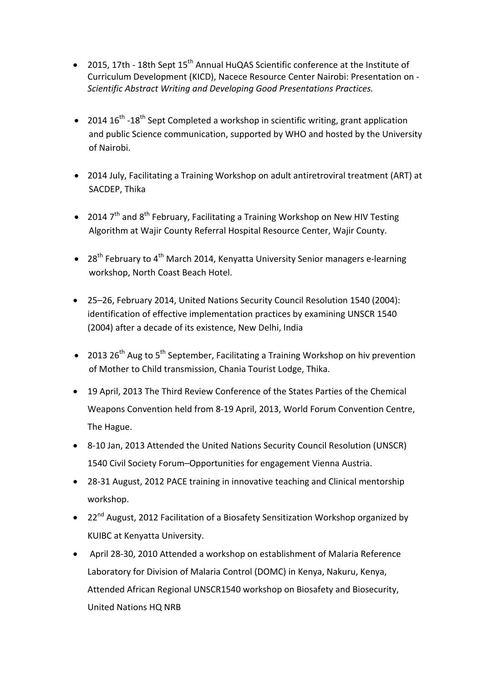- 2015, 17th 18th Sept 15<sup>th</sup> Annual HuQAS Scientific conference at the Institute of Curriculum Development (KICD), Nacece Resource Center Nairobi: Presentation on - *Scientific Abstract Writing and Developing Good Presentations Practices.*
- 2014  $16^{\text{th}}$  -18<sup>th</sup> Sept Completed a workshop in scientific writing, grant application and public Science communication, supported by WHO and hosted by the University of Nairobi.
- 2014 July, Facilitating a Training Workshop on adult antiretroviral treatment (ART) at SACDEP, Thika
- 2014  $7<sup>th</sup>$  and  $8<sup>th</sup>$  February, Facilitating a Training Workshop on New HIV Testing Algorithm at Wajir County Referral Hospital Resource Center, Wajir County.
- 28<sup>th</sup> February to 4<sup>th</sup> March 2014, Kenyatta University Senior managers e-learning workshop, North Coast Beach Hotel.
- 25–26, February 2014, United Nations Security Council Resolution 1540 (2004): identification of effective implementation practices by examining UNSCR 1540 (2004) after a decade of its existence, New Delhi, India
- 2013  $26^{th}$  Aug to  $5^{th}$  September, Facilitating a Training Workshop on hiv prevention of Mother to Child transmission, Chania Tourist Lodge, Thika.
- 19 April, 2013 The Third Review Conference of the States Parties of the Chemical Weapons Convention held from 8-19 April, 2013, World Forum Convention Centre, The Hague.
- 8-10 Jan, 2013 Attended the United Nations Security Council Resolution (UNSCR) 1540 Civil Society Forum–Opportunities for engagement Vienna Austria.
- 28-31 August, 2012 PACE training in innovative teaching and Clinical mentorship workshop.
- 22<sup>nd</sup> August, 2012 Facilitation of a Biosafety Sensitization Workshop organized by KUIBC at Kenyatta University.
- April 28-30, 2010 Attended a workshop on establishment of Malaria Reference Laboratory for Division of Malaria Control (DOMC) in Kenya, Nakuru, Kenya, Attended African Regional UNSCR1540 workshop on Biosafety and Biosecurity, United Nations HQ NRB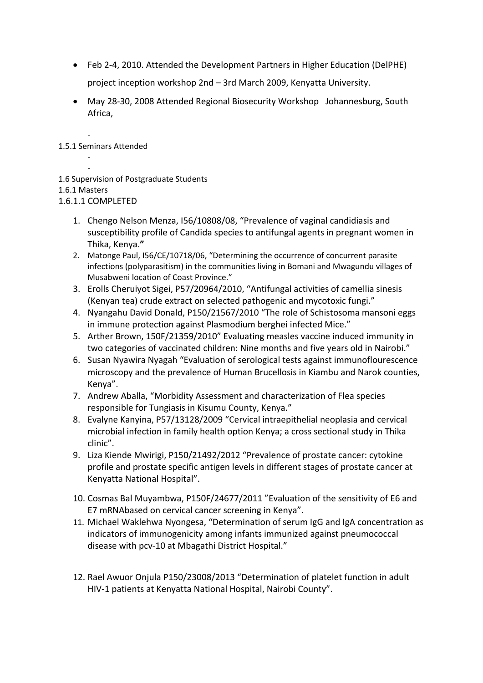- Feb 2-4, 2010. Attended the Development Partners in Higher Education (DelPHE) project inception workshop 2nd – 3rd March 2009, Kenyatta University.
- May 28-30, 2008 Attended Regional Biosecurity Workshop Johannesburg, South Africa,

- 1.5.1 Seminars Attended

- 1.6 Supervision of Postgraduate Students
- 1.6.1 Masters

-

1.6.1.1 COMPLETED

- 1. Chengo Nelson Menza, I56/10808/08, "Prevalence of vaginal candidiasis and susceptibility profile of Candida species to antifungal agents in pregnant women in Thika, Kenya.**"**
- 2. Matonge Paul, I56/CE/10718/06, "Determining the occurrence of concurrent parasite infections (polyparasitism) in the communities living in Bomani and Mwagundu villages of Musabweni location of Coast Province."
- 3. Erolls Cheruiyot Sigei, P57/20964/2010, "Antifungal activities of camellia sinesis (Kenyan tea) crude extract on selected pathogenic and mycotoxic fungi."
- 4. Nyangahu David Donald, P150/21567/2010 "The role of Schistosoma mansoni eggs in immune protection against Plasmodium berghei infected Mice."
- 5. Arther Brown, 150F/21359/2010" Evaluating measles vaccine induced immunity in two categories of vaccinated children: Nine months and five years old in Nairobi."
- 6. Susan Nyawira Nyagah "Evaluation of serological tests against immunoflourescence microscopy and the prevalence of Human Brucellosis in Kiambu and Narok counties, Kenya".
- 7. Andrew Aballa, "Morbidity Assessment and characterization of Flea species responsible for Tungiasis in Kisumu County, Kenya."
- 8. Evalyne Kanyina, P57/13128/2009 "Cervical intraepithelial neoplasia and cervical microbial infection in family health option Kenya; a cross sectional study in Thika clinic".
- 9. Liza Kiende Mwirigi, P150/21492/2012 "Prevalence of prostate cancer: cytokine profile and prostate specific antigen levels in different stages of prostate cancer at Kenyatta National Hospital".
- 10. Cosmas Bal Muyambwa, P150F/24677/2011 "Evaluation of the sensitivity of E6 and E7 mRNAbased on cervical cancer screening in Kenya".
- 11. Michael Waklehwa Nyongesa, "Determination of serum IgG and IgA concentration as indicators of immunogenicity among infants immunized against pneumococcal disease with pcv-10 at Mbagathi District Hospital."
- 12. Rael Awuor Onjula P150/23008/2013 "Determination of platelet function in adult HIV-1 patients at Kenyatta National Hospital, Nairobi County".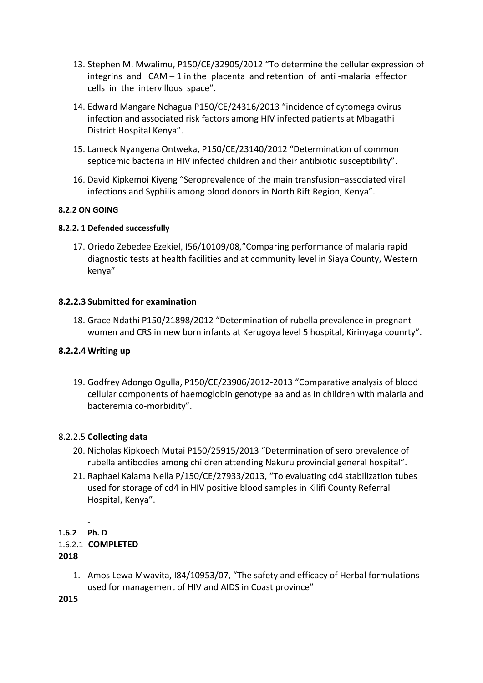- 13. Stephen M. Mwalimu, P150/CE/32905/2012 "To determine the cellular expression of integrins and ICAM – 1 in the placenta and retention of anti -malaria effector cells in the intervillous space".
- 14. Edward Mangare Nchagua P150/CE/24316/2013 "incidence of cytomegalovirus infection and associated risk factors among HIV infected patients at Mbagathi District Hospital Kenya".
- 15. Lameck Nyangena Ontweka, P150/CE/23140/2012 "Determination of common septicemic bacteria in HIV infected children and their antibiotic susceptibility".
- 16. David Kipkemoi Kiyeng "Seroprevalence of the main transfusion–associated viral infections and Syphilis among blood donors in North Rift Region, Kenya".

# **8.2.2 ON GOING**

## **8.2.2. 1 Defended successfully**

17. Oriedo Zebedee Ezekiel, I56/10109/08,"Comparing performance of malaria rapid diagnostic tests at health facilities and at community level in Siaya County, Western kenya"

# **8.2.2.3 Submitted for examination**

18. Grace Ndathi P150/21898/2012 "Determination of rubella prevalence in pregnant women and CRS in new born infants at Kerugoya level 5 hospital, Kirinyaga counrty".

## **8.2.2.4 Writing up**

19. Godfrey Adongo Ogulla, P150/CE/23906/2012-2013 "Comparative analysis of blood cellular components of haemoglobin genotype aa and as in children with malaria and bacteremia co-morbidity".

## 8.2.2.5 **Collecting data**

- 20. Nicholas Kipkoech Mutai P150/25915/2013 "Determination of sero prevalence of rubella antibodies among children attending Nakuru provincial general hospital".
- 21. Raphael Kalama Nella P/150/CE/27933/2013, "To evaluating cd4 stabilization tubes used for storage of cd4 in HIV positive blood samples in Kilifi County Referral Hospital, Kenya".

#### - **1.6.2 Ph. D** 1.6.2.1- **COMPLETED 2018**

1. Amos Lewa Mwavita, I84/10953/07, "The safety and efficacy of Herbal formulations used for management of HIV and AIDS in Coast province"

**2015**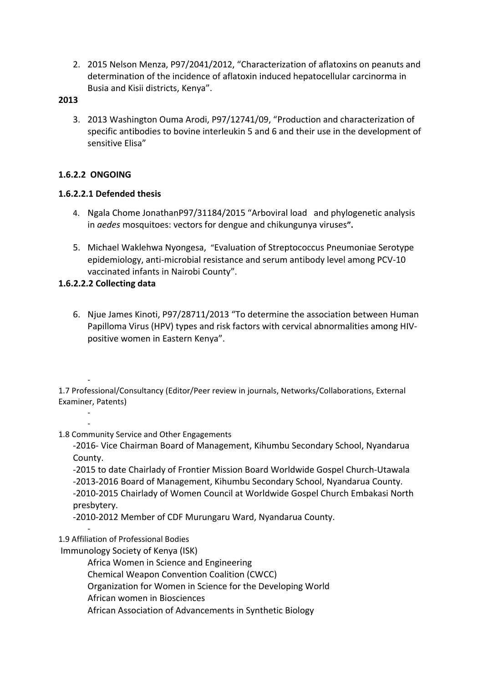2. 2015 Nelson Menza, P97/2041/2012, "Characterization of aflatoxins on peanuts and determination of the incidence of aflatoxin induced hepatocellular carcinorma in Busia and Kisii districts, Kenya".

# **2013**

3. 2013 Washington Ouma Arodi, P97/12741/09, "Production and characterization of specific antibodies to bovine interleukin 5 and 6 and their use in the development of sensitive Elisa"

# **1.6.2.2 ONGOING**

# **1.6.2.2.1 Defended thesis**

- 4. Ngala Chome JonathanP97/31184/2015 "Arboviral load and phylogenetic analysis in *aedes* mosquitoes: vectors for dengue and chikungunya viruses**".**
- 5. Michael Waklehwa Nyongesa, "Evaluation of Streptococcus Pneumoniae Serotype epidemiology, anti-microbial resistance and serum antibody level among PCV-10 vaccinated infants in Nairobi County".

# **1.6.2.2.2 Collecting data**

6. Njue James Kinoti, P97/28711/2013 "To determine the association between Human Papilloma Virus (HPV) types and risk factors with cervical abnormalities among HIVpositive women in Eastern Kenya".

- 1.7 Professional/Consultancy (Editor/Peer review in journals, Networks/Collaborations, External Examiner, Patents)

-

-

1.8 Community Service and Other Engagements

-2016- Vice Chairman Board of Management, Kihumbu Secondary School, Nyandarua County.

-2015 to date Chairlady of Frontier Mission Board Worldwide Gospel Church-Utawala -2013-2016 Board of Management, Kihumbu Secondary School, Nyandarua County. -2010-2015 Chairlady of Women Council at Worldwide Gospel Church Embakasi North presbytery.

-2010-2012 Member of CDF Murungaru Ward, Nyandarua County.

#### - 1.9 Affiliation of Professional Bodies

Immunology Society of Kenya (ISK)

Africa Women in Science and Engineering

Chemical Weapon Convention Coalition (CWCC)

Organization for Women in Science for the Developing World

African women in Biosciences

African Association of Advancements in Synthetic Biology